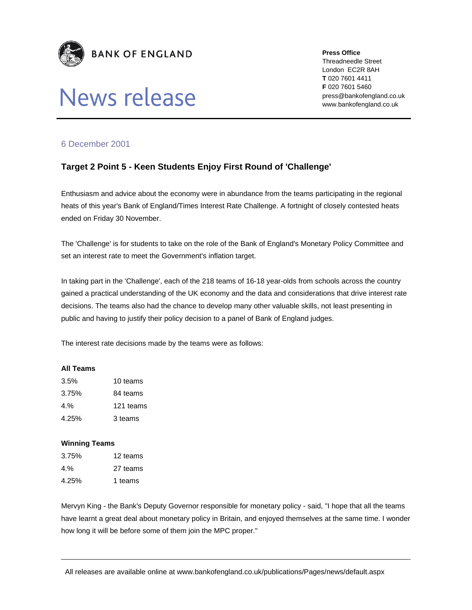

# News release

**Press Office** 

Threadneedle Street London EC2R 8AH **T** 020 7601 4411 **F** 020 7601 5460 press@bankofengland.co.uk www.bankofengland.co.uk

## 6 December 2001

## **Target 2 Point 5 - Keen Students Enjoy First Round of 'Challenge'**

Enthusiasm and advice about the economy were in abundance from the teams participating in the regional heats of this year's Bank of England/Times Interest Rate Challenge. A fortnight of closely contested heats ended on Friday 30 November.

The 'Challenge' is for students to take on the role of the Bank of England's Monetary Policy Committee and set an interest rate to meet the Government's inflation target.

In taking part in the 'Challenge', each of the 218 teams of 16-18 year-olds from schools across the country gained a practical understanding of the UK economy and the data and considerations that drive interest rate decisions. The teams also had the chance to develop many other valuable skills, not least presenting in public and having to justify their policy decision to a panel of Bank of England judges.

The interest rate decisions made by the teams were as follows:

### **All Teams**

| 3.5%  | 10 teams  |
|-------|-----------|
| 3.75% | 84 teams  |
| 4.%   | 121 teams |
| 4.25% | 3 teams   |

### **Winning Teams**

| 3.75% | 12 teams |
|-------|----------|
| 4.%   | 27 teams |
| 4.25% | 1 teams  |

Mervyn King - the Bank's Deputy Governor responsible for monetary policy - said, "I hope that all the teams have learnt a great deal about monetary policy in Britain, and enjoyed themselves at the same time. I wonder how long it will be before some of them join the MPC proper."